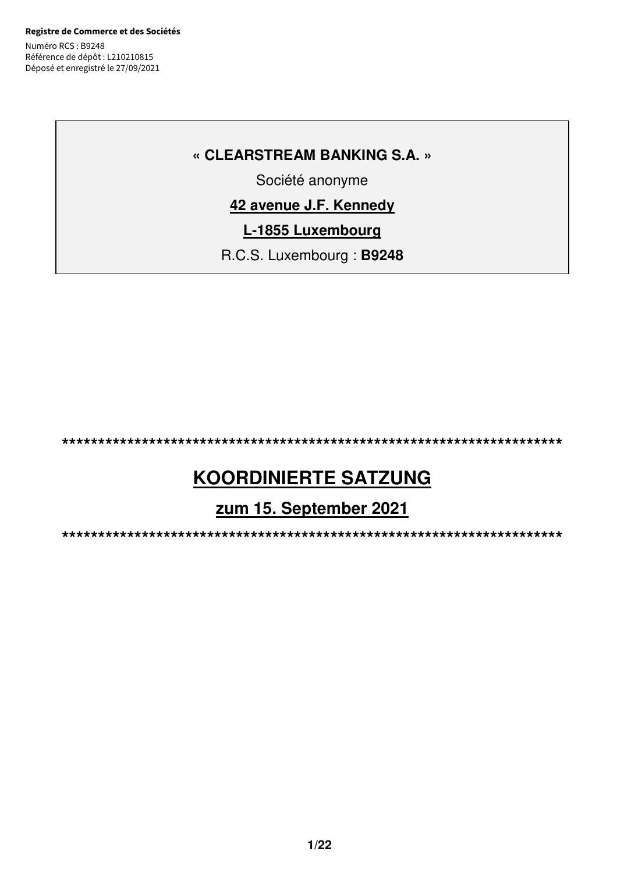**Registre de Commerce et des Sociétés** Numéro RCS : B9248 Référence de dépôt : L210210815 Déposé et enregistré le 27/09/2021

## **« CLEARSTREAM BANKING S.A. »**

Société anonyme

# **42 avenue J.F. Kennedy**

**L-1855 Luxembourg** 

R.C.S. Luxembourg : **B9248** 

**\*\*\*\*\*\*\*\*\*\*\*\*\*\*\*\*\*\*\*\*\*\*\*\*\*\*\*\*\*\*\*\*\*\*\*\*\*\*\*\*\*\*\*\*\*\*\*\*\*\*\*\*\*\*\*\*\*\*\*\*\*\*\*\*\*\*\*\*\***

# **KOORDINIERTE SATZUNG**

**zum 15. September 2021** 

**\*\*\*\*\*\*\*\*\*\*\*\*\*\*\*\*\*\*\*\*\*\*\*\*\*\*\*\*\*\*\*\*\*\*\*\*\*\*\*\*\*\*\*\*\*\*\*\*\*\*\*\*\*\*\*\*\*\*\*\*\*\*\*\*\*\*\*\*\***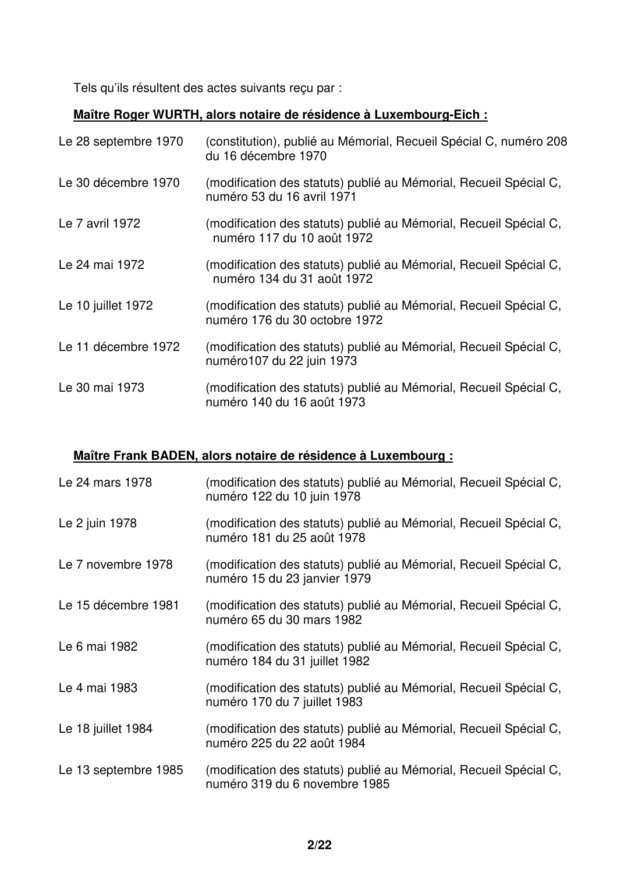Tels qu'ils résultent des actes suivants reçu par :

## **Maître Roger WURTH, alors notaire de résidence à Luxembourg-Eich :**

| Le 28 septembre 1970 | (constitution), publié au Mémorial, Recueil Spécial C, numéro 208<br>du 16 décembre 1970           |
|----------------------|----------------------------------------------------------------------------------------------------|
| Le 30 décembre 1970  | (modification des statuts) publié au Mémorial, Recueil Spécial C,<br>numéro 53 du 16 avril 1971    |
| Le 7 avril 1972      | (modification des statuts) publié au Mémorial, Recueil Spécial C,<br>numéro 117 du 10 août 1972    |
| Le 24 mai 1972       | (modification des statuts) publié au Mémorial, Recueil Spécial C,<br>numéro 134 du 31 août 1972    |
| Le 10 juillet 1972   | (modification des statuts) publié au Mémorial, Recueil Spécial C,<br>numéro 176 du 30 octobre 1972 |
| Le 11 décembre 1972  | (modification des statuts) publié au Mémorial, Recueil Spécial C,<br>numéro 107 du 22 juin 1973    |
| Le 30 mai 1973       | (modification des statuts) publié au Mémorial, Recueil Spécial C,<br>numéro 140 du 16 août 1973    |

# **Maître Frank BADEN, alors notaire de résidence à Luxembourg :**

| Le 24 mars 1978      | (modification des statuts) publié au Mémorial, Recueil Spécial C,<br>numéro 122 du 10 juin 1978    |
|----------------------|----------------------------------------------------------------------------------------------------|
| Le 2 juin 1978       | (modification des statuts) publié au Mémorial, Recueil Spécial C,<br>numéro 181 du 25 août 1978    |
| Le 7 novembre 1978   | (modification des statuts) publié au Mémorial, Recueil Spécial C,<br>numéro 15 du 23 janvier 1979  |
| Le 15 décembre 1981  | (modification des statuts) publié au Mémorial, Recueil Spécial C,<br>numéro 65 du 30 mars 1982     |
| Le 6 mai 1982        | (modification des statuts) publié au Mémorial, Recueil Spécial C,<br>numéro 184 du 31 juillet 1982 |
| Le 4 mai 1983        | (modification des statuts) publié au Mémorial, Recueil Spécial C,<br>numéro 170 du 7 juillet 1983  |
| Le 18 juillet 1984   | (modification des statuts) publié au Mémorial, Recueil Spécial C,<br>numéro 225 du 22 août 1984    |
| Le 13 septembre 1985 | (modification des statuts) publié au Mémorial, Recueil Spécial C,<br>numéro 319 du 6 novembre 1985 |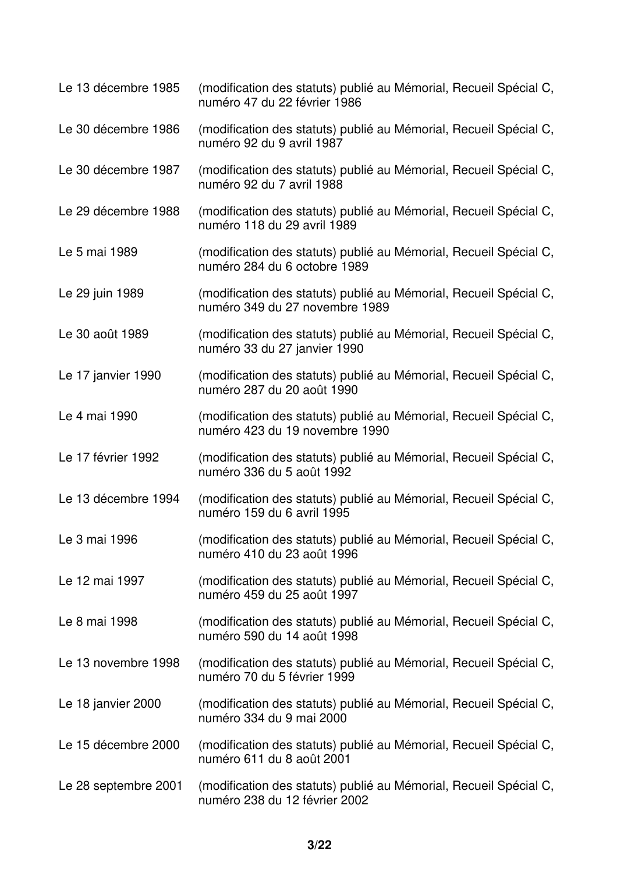| Le 13 décembre 1985  | (modification des statuts) publié au Mémorial, Recueil Spécial C,<br>numéro 47 du 22 février 1986   |
|----------------------|-----------------------------------------------------------------------------------------------------|
| Le 30 décembre 1986  | (modification des statuts) publié au Mémorial, Recueil Spécial C,<br>numéro 92 du 9 avril 1987      |
| Le 30 décembre 1987  | (modification des statuts) publié au Mémorial, Recueil Spécial C,<br>numéro 92 du 7 avril 1988      |
| Le 29 décembre 1988  | (modification des statuts) publié au Mémorial, Recueil Spécial C,<br>numéro 118 du 29 avril 1989    |
| Le 5 mai 1989        | (modification des statuts) publié au Mémorial, Recueil Spécial C,<br>numéro 284 du 6 octobre 1989   |
| Le 29 juin 1989      | (modification des statuts) publié au Mémorial, Recueil Spécial C,<br>numéro 349 du 27 novembre 1989 |
| Le 30 août 1989      | (modification des statuts) publié au Mémorial, Recueil Spécial C,<br>numéro 33 du 27 janvier 1990   |
| Le 17 janvier 1990   | (modification des statuts) publié au Mémorial, Recueil Spécial C,<br>numéro 287 du 20 août 1990     |
| Le 4 mai 1990        | (modification des statuts) publié au Mémorial, Recueil Spécial C,<br>numéro 423 du 19 novembre 1990 |
| Le 17 février 1992   | (modification des statuts) publié au Mémorial, Recueil Spécial C,<br>numéro 336 du 5 août 1992      |
| Le 13 décembre 1994  | (modification des statuts) publié au Mémorial, Recueil Spécial C,<br>numéro 159 du 6 avril 1995     |
| Le 3 mai 1996        | (modification des statuts) publié au Mémorial, Recueil Spécial C,<br>numéro 410 du 23 août 1996     |
| Le 12 mai 1997       | (modification des statuts) publié au Mémorial, Recueil Spécial C,<br>numéro 459 du 25 août 1997     |
| Le 8 mai 1998        | (modification des statuts) publié au Mémorial, Recueil Spécial C,<br>numéro 590 du 14 août 1998     |
| Le 13 novembre 1998  | (modification des statuts) publié au Mémorial, Recueil Spécial C,<br>numéro 70 du 5 février 1999    |
| Le 18 janvier 2000   | (modification des statuts) publié au Mémorial, Recueil Spécial C,<br>numéro 334 du 9 mai 2000       |
| Le 15 décembre 2000  | (modification des statuts) publié au Mémorial, Recueil Spécial C,<br>numéro 611 du 8 août 2001      |
| Le 28 septembre 2001 | (modification des statuts) publié au Mémorial, Recueil Spécial C,<br>numéro 238 du 12 février 2002  |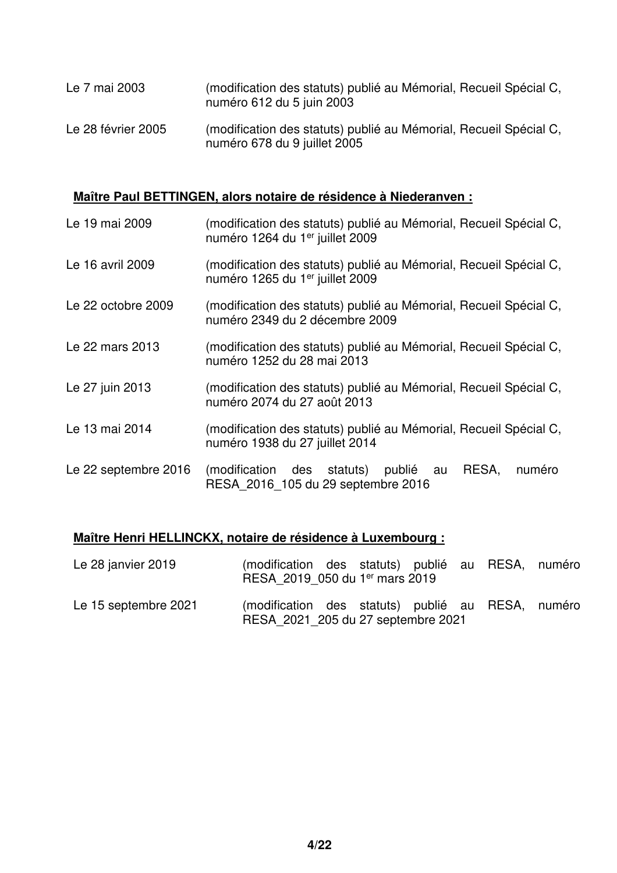| Le 7 mai 2003      | (modification des statuts) publié au Mémorial, Recueil Spécial C,<br>numéro 612 du 5 juin 2003    |
|--------------------|---------------------------------------------------------------------------------------------------|
| Le 28 février 2005 | (modification des statuts) publié au Mémorial, Recueil Spécial C,<br>numéro 678 du 9 juillet 2005 |

## **Maître Paul BETTINGEN, alors notaire de résidence à Niederanven :**

| Le 19 mai 2009       | (modification des statuts) publié au Mémorial, Recueil Spécial C,<br>numéro 1264 du 1 <sup>er</sup> juillet 2009 |
|----------------------|------------------------------------------------------------------------------------------------------------------|
| Le 16 avril 2009     | (modification des statuts) publié au Mémorial, Recueil Spécial C,<br>numéro 1265 du 1 <sup>er</sup> juillet 2009 |
| Le 22 octobre 2009   | (modification des statuts) publié au Mémorial, Recueil Spécial C,<br>numéro 2349 du 2 décembre 2009              |
| Le 22 mars 2013      | (modification des statuts) publié au Mémorial, Recueil Spécial C,<br>numéro 1252 du 28 mai 2013                  |
| Le 27 juin 2013      | (modification des statuts) publié au Mémorial, Recueil Spécial C,<br>numéro 2074 du 27 août 2013                 |
| Le 13 mai 2014       | (modification des statuts) publié au Mémorial, Recueil Spécial C,<br>numéro 1938 du 27 juillet 2014              |
| Le 22 septembre 2016 | RESA,<br>numéro<br>(modification des statuts) publié au<br>RESA 2016 105 du 29 septembre 2016                    |

## **Maître Henri HELLINCKX, notaire de résidence à Luxembourg :**

| Le 28 janvier 2019   | (modification des statuts) publié au RESA, numéro<br>RESA 2019 050 du 1er mars 2019     |  |  |  |
|----------------------|-----------------------------------------------------------------------------------------|--|--|--|
| Le 15 septembre 2021 | (modification des statuts) publié au RESA, numéro<br>RESA 2021 205 du 27 septembre 2021 |  |  |  |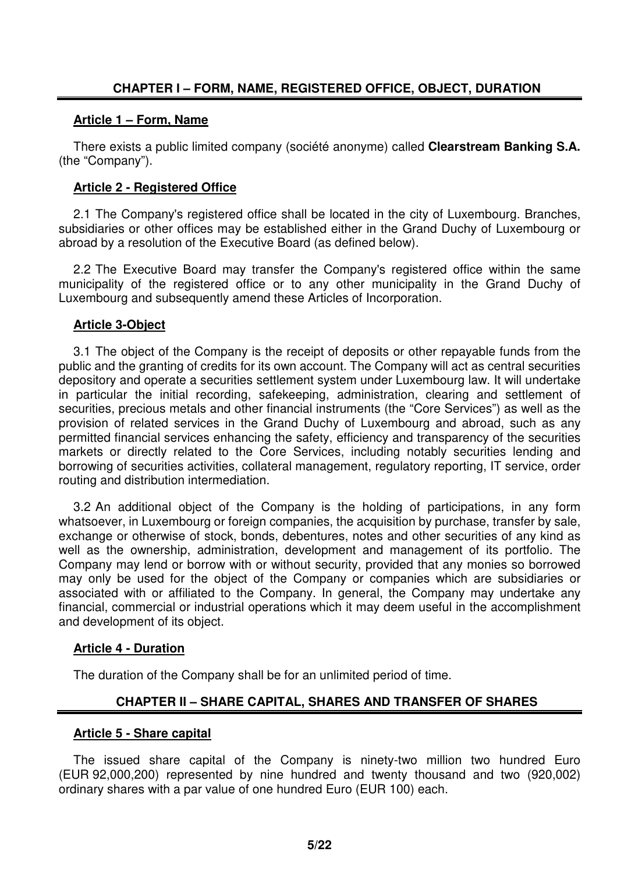#### **Article 1 – Form, Name**

There exists a public limited company (société anonyme) called **Clearstream Banking S.A.** (the "Company").

## **Article 2 - Registered Office**

2.1 The Company's registered office shall be located in the city of Luxembourg. Branches, subsidiaries or other offices may be established either in the Grand Duchy of Luxembourg or abroad by a resolution of the Executive Board (as defined below).

2.2 The Executive Board may transfer the Company's registered office within the same municipality of the registered office or to any other municipality in the Grand Duchy of Luxembourg and subsequently amend these Articles of Incorporation.

## **Article 3-Object**

3.1 The object of the Company is the receipt of deposits or other repayable funds from the public and the granting of credits for its own account. The Company will act as central securities depository and operate a securities settlement system under Luxembourg law. It will undertake in particular the initial recording, safekeeping, administration, clearing and settlement of securities, precious metals and other financial instruments (the "Core Services") as well as the provision of related services in the Grand Duchy of Luxembourg and abroad, such as any permitted financial services enhancing the safety, efficiency and transparency of the securities markets or directly related to the Core Services, including notably securities lending and borrowing of securities activities, collateral management, regulatory reporting, IT service, order routing and distribution intermediation.

3.2 An additional object of the Company is the holding of participations, in any form whatsoever, in Luxembourg or foreign companies, the acquisition by purchase, transfer by sale, exchange or otherwise of stock, bonds, debentures, notes and other securities of any kind as well as the ownership, administration, development and management of its portfolio. The Company may lend or borrow with or without security, provided that any monies so borrowed may only be used for the object of the Company or companies which are subsidiaries or associated with or affiliated to the Company. In general, the Company may undertake any financial, commercial or industrial operations which it may deem useful in the accomplishment and development of its object.

#### **Article 4 - Duration**

The duration of the Company shall be for an unlimited period of time.

## **CHAPTER II – SHARE CAPITAL, SHARES AND TRANSFER OF SHARES**

#### **Article 5 - Share capital**

The issued share capital of the Company is ninety-two million two hundred Euro (EUR 92,000,200) represented by nine hundred and twenty thousand and two (920,002) ordinary shares with a par value of one hundred Euro (EUR 100) each.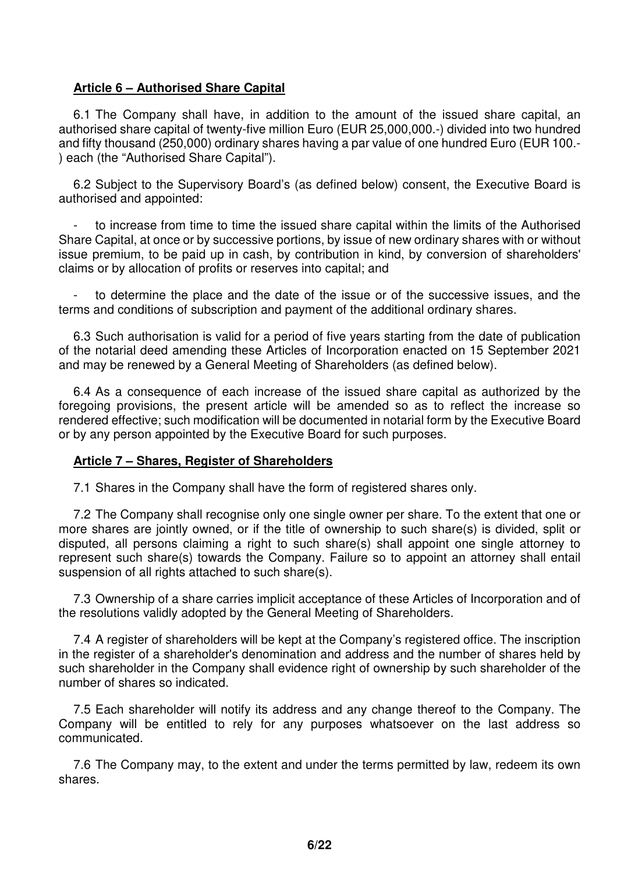#### **Article 6 – Authorised Share Capital**

6.1 The Company shall have, in addition to the amount of the issued share capital, an authorised share capital of twenty-five million Euro (EUR 25,000,000.-) divided into two hundred and fifty thousand (250,000) ordinary shares having a par value of one hundred Euro (EUR 100.- ) each (the "Authorised Share Capital").

6.2 Subject to the Supervisory Board's (as defined below) consent, the Executive Board is authorised and appointed:

to increase from time to time the issued share capital within the limits of the Authorised Share Capital, at once or by successive portions, by issue of new ordinary shares with or without issue premium, to be paid up in cash, by contribution in kind, by conversion of shareholders' claims or by allocation of profits or reserves into capital; and

to determine the place and the date of the issue or of the successive issues, and the terms and conditions of subscription and payment of the additional ordinary shares.

6.3 Such authorisation is valid for a period of five years starting from the date of publication of the notarial deed amending these Articles of Incorporation enacted on 15 September 2021 and may be renewed by a General Meeting of Shareholders (as defined below).

6.4 As a consequence of each increase of the issued share capital as authorized by the foregoing provisions, the present article will be amended so as to reflect the increase so rendered effective; such modification will be documented in notarial form by the Executive Board or by any person appointed by the Executive Board for such purposes.

#### **Article 7 – Shares, Register of Shareholders**

7.1 Shares in the Company shall have the form of registered shares only.

7.2 The Company shall recognise only one single owner per share. To the extent that one or more shares are jointly owned, or if the title of ownership to such share(s) is divided, split or disputed, all persons claiming a right to such share(s) shall appoint one single attorney to represent such share(s) towards the Company. Failure so to appoint an attorney shall entail suspension of all rights attached to such share(s).

7.3 Ownership of a share carries implicit acceptance of these Articles of Incorporation and of the resolutions validly adopted by the General Meeting of Shareholders.

7.4 A register of shareholders will be kept at the Company's registered office. The inscription in the register of a shareholder's denomination and address and the number of shares held by such shareholder in the Company shall evidence right of ownership by such shareholder of the number of shares so indicated.

7.5 Each shareholder will notify its address and any change thereof to the Company. The Company will be entitled to rely for any purposes whatsoever on the last address so communicated.

7.6 The Company may, to the extent and under the terms permitted by law, redeem its own shares.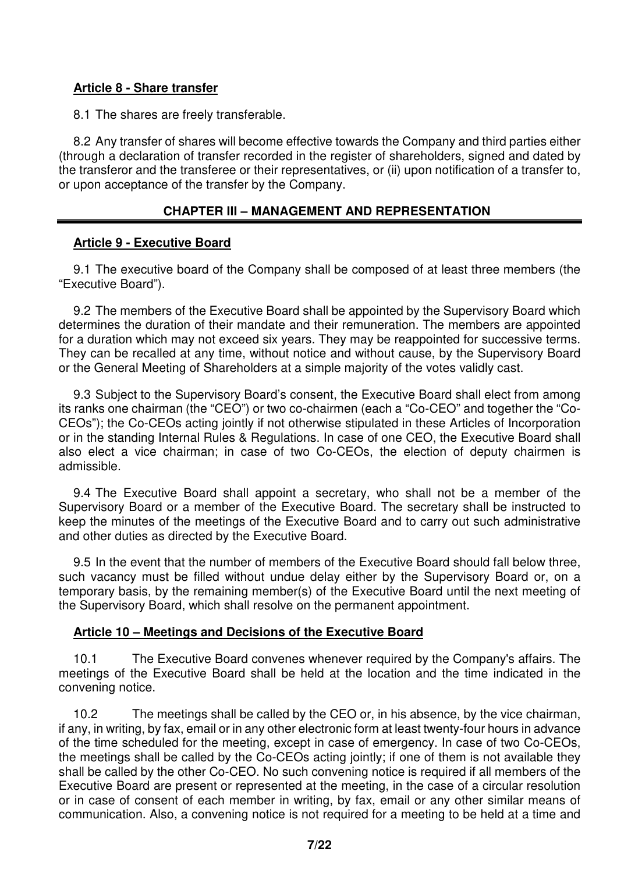#### **Article 8 - Share transfer**

8.1 The shares are freely transferable.

8.2 Any transfer of shares will become effective towards the Company and third parties either (through a declaration of transfer recorded in the register of shareholders, signed and dated by the transferor and the transferee or their representatives, or (ii) upon notification of a transfer to, or upon acceptance of the transfer by the Company.

## **CHAPTER III – MANAGEMENT AND REPRESENTATION**

## **Article 9 - Executive Board**

9.1 The executive board of the Company shall be composed of at least three members (the "Executive Board").

9.2 The members of the Executive Board shall be appointed by the Supervisory Board which determines the duration of their mandate and their remuneration. The members are appointed for a duration which may not exceed six years. They may be reappointed for successive terms. They can be recalled at any time, without notice and without cause, by the Supervisory Board or the General Meeting of Shareholders at a simple majority of the votes validly cast.

9.3 Subject to the Supervisory Board's consent, the Executive Board shall elect from among its ranks one chairman (the "CEO") or two co-chairmen (each a "Co-CEO" and together the "Co-CEOs"); the Co-CEOs acting jointly if not otherwise stipulated in these Articles of Incorporation or in the standing Internal Rules & Regulations. In case of one CEO, the Executive Board shall also elect a vice chairman; in case of two Co-CEOs, the election of deputy chairmen is admissible.

9.4 The Executive Board shall appoint a secretary, who shall not be a member of the Supervisory Board or a member of the Executive Board. The secretary shall be instructed to keep the minutes of the meetings of the Executive Board and to carry out such administrative and other duties as directed by the Executive Board.

9.5 In the event that the number of members of the Executive Board should fall below three, such vacancy must be filled without undue delay either by the Supervisory Board or, on a temporary basis, by the remaining member(s) of the Executive Board until the next meeting of the Supervisory Board, which shall resolve on the permanent appointment.

#### **Article 10 – Meetings and Decisions of the Executive Board**

10.1 The Executive Board convenes whenever required by the Company's affairs. The meetings of the Executive Board shall be held at the location and the time indicated in the convening notice.

10.2 The meetings shall be called by the CEO or, in his absence, by the vice chairman, if any, in writing, by fax, email or in any other electronic form at least twenty-four hours in advance of the time scheduled for the meeting, except in case of emergency. In case of two Co-CEOs, the meetings shall be called by the Co-CEOs acting jointly; if one of them is not available they shall be called by the other Co-CEO. No such convening notice is required if all members of the Executive Board are present or represented at the meeting, in the case of a circular resolution or in case of consent of each member in writing, by fax, email or any other similar means of communication. Also, a convening notice is not required for a meeting to be held at a time and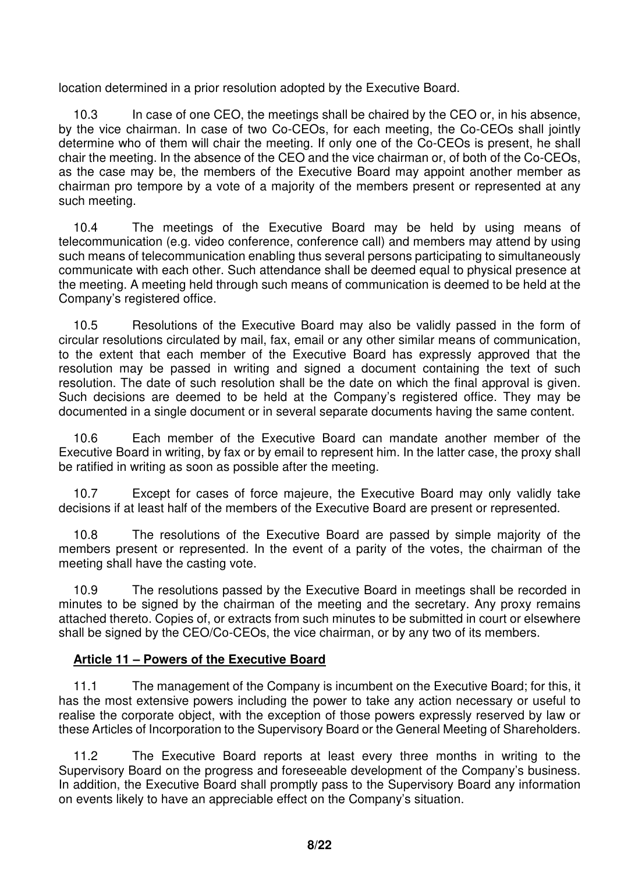location determined in a prior resolution adopted by the Executive Board.

10.3 In case of one CEO, the meetings shall be chaired by the CEO or, in his absence, by the vice chairman. In case of two Co-CEOs, for each meeting, the Co-CEOs shall jointly determine who of them will chair the meeting. If only one of the Co-CEOs is present, he shall chair the meeting. In the absence of the CEO and the vice chairman or, of both of the Co-CEOs, as the case may be, the members of the Executive Board may appoint another member as chairman pro tempore by a vote of a majority of the members present or represented at any such meeting.

10.4 The meetings of the Executive Board may be held by using means of telecommunication (e.g. video conference, conference call) and members may attend by using such means of telecommunication enabling thus several persons participating to simultaneously communicate with each other. Such attendance shall be deemed equal to physical presence at the meeting. A meeting held through such means of communication is deemed to be held at the Company's registered office.

10.5 Resolutions of the Executive Board may also be validly passed in the form of circular resolutions circulated by mail, fax, email or any other similar means of communication, to the extent that each member of the Executive Board has expressly approved that the resolution may be passed in writing and signed a document containing the text of such resolution. The date of such resolution shall be the date on which the final approval is given. Such decisions are deemed to be held at the Company's registered office. They may be documented in a single document or in several separate documents having the same content.

10.6 Each member of the Executive Board can mandate another member of the Executive Board in writing, by fax or by email to represent him. In the latter case, the proxy shall be ratified in writing as soon as possible after the meeting.

10.7 Except for cases of force majeure, the Executive Board may only validly take decisions if at least half of the members of the Executive Board are present or represented.

10.8 The resolutions of the Executive Board are passed by simple majority of the members present or represented. In the event of a parity of the votes, the chairman of the meeting shall have the casting vote.

10.9 The resolutions passed by the Executive Board in meetings shall be recorded in minutes to be signed by the chairman of the meeting and the secretary. Any proxy remains attached thereto. Copies of, or extracts from such minutes to be submitted in court or elsewhere shall be signed by the CEO/Co-CEOs, the vice chairman, or by any two of its members.

## **Article 11 – Powers of the Executive Board**

11.1 The management of the Company is incumbent on the Executive Board; for this, it has the most extensive powers including the power to take any action necessary or useful to realise the corporate object, with the exception of those powers expressly reserved by law or these Articles of Incorporation to the Supervisory Board or the General Meeting of Shareholders.

11.2 The Executive Board reports at least every three months in writing to the Supervisory Board on the progress and foreseeable development of the Company's business. In addition, the Executive Board shall promptly pass to the Supervisory Board any information on events likely to have an appreciable effect on the Company's situation.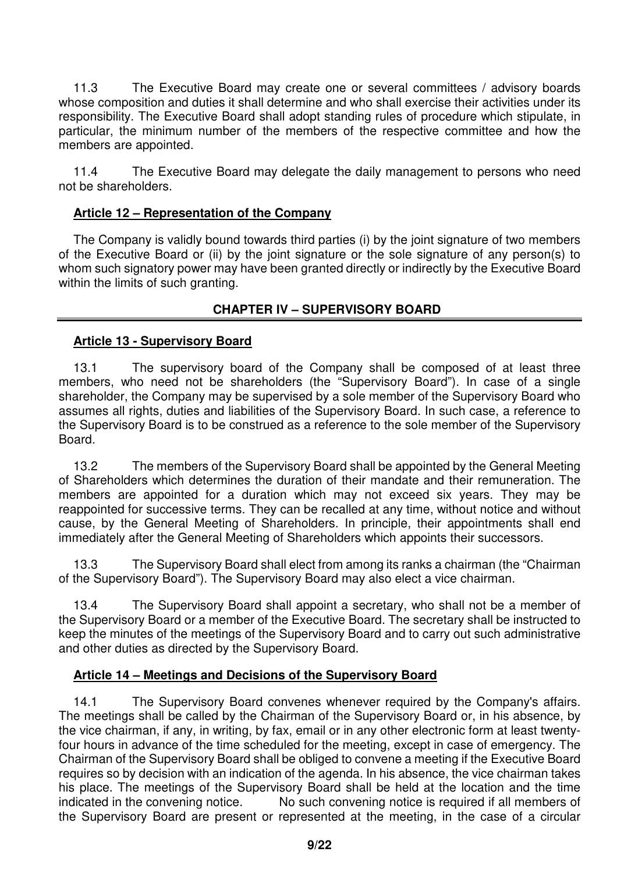11.3 The Executive Board may create one or several committees / advisory boards whose composition and duties it shall determine and who shall exercise their activities under its responsibility. The Executive Board shall adopt standing rules of procedure which stipulate, in particular, the minimum number of the members of the respective committee and how the members are appointed.

11.4 The Executive Board may delegate the daily management to persons who need not be shareholders.

## **Article 12 – Representation of the Company**

The Company is validly bound towards third parties (i) by the joint signature of two members of the Executive Board or (ii) by the joint signature or the sole signature of any person(s) to whom such signatory power may have been granted directly or indirectly by the Executive Board within the limits of such granting.

## **CHAPTER IV – SUPERVISORY BOARD**

## **Article 13 - Supervisory Board**

13.1 The supervisory board of the Company shall be composed of at least three members, who need not be shareholders (the "Supervisory Board"). In case of a single shareholder, the Company may be supervised by a sole member of the Supervisory Board who assumes all rights, duties and liabilities of the Supervisory Board. In such case, a reference to the Supervisory Board is to be construed as a reference to the sole member of the Supervisory Board.

13.2 The members of the Supervisory Board shall be appointed by the General Meeting of Shareholders which determines the duration of their mandate and their remuneration. The members are appointed for a duration which may not exceed six years. They may be reappointed for successive terms. They can be recalled at any time, without notice and without cause, by the General Meeting of Shareholders. In principle, their appointments shall end immediately after the General Meeting of Shareholders which appoints their successors.

13.3 The Supervisory Board shall elect from among its ranks a chairman (the "Chairman of the Supervisory Board"). The Supervisory Board may also elect a vice chairman.

13.4 The Supervisory Board shall appoint a secretary, who shall not be a member of the Supervisory Board or a member of the Executive Board. The secretary shall be instructed to keep the minutes of the meetings of the Supervisory Board and to carry out such administrative and other duties as directed by the Supervisory Board.

#### **Article 14 – Meetings and Decisions of the Supervisory Board**

14.1 The Supervisory Board convenes whenever required by the Company's affairs. The meetings shall be called by the Chairman of the Supervisory Board or, in his absence, by the vice chairman, if any, in writing, by fax, email or in any other electronic form at least twentyfour hours in advance of the time scheduled for the meeting, except in case of emergency. The Chairman of the Supervisory Board shall be obliged to convene a meeting if the Executive Board requires so by decision with an indication of the agenda. In his absence, the vice chairman takes his place. The meetings of the Supervisory Board shall be held at the location and the time indicated in the convening notice. No such convening notice is required if all members of the Supervisory Board are present or represented at the meeting, in the case of a circular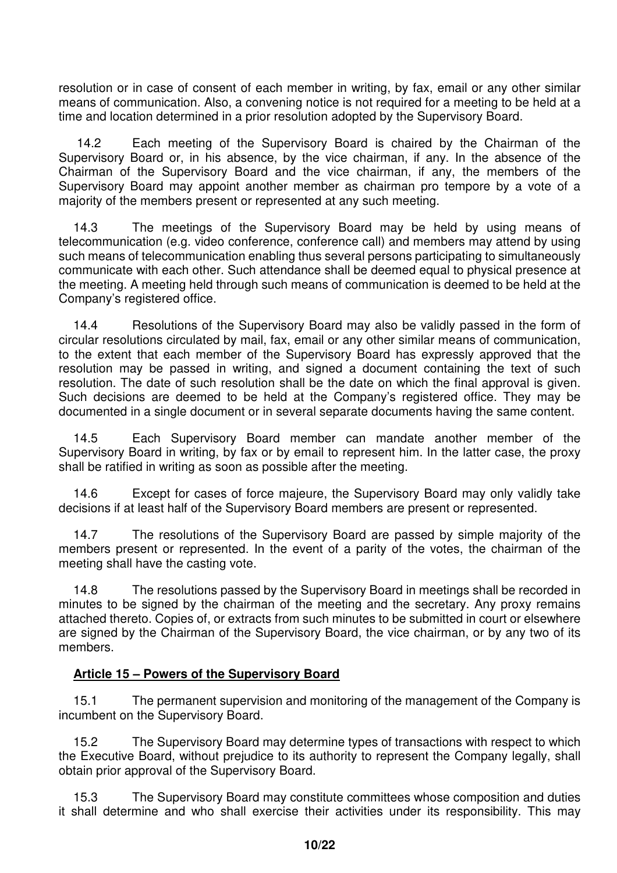resolution or in case of consent of each member in writing, by fax, email or any other similar means of communication. Also, a convening notice is not required for a meeting to be held at a time and location determined in a prior resolution adopted by the Supervisory Board.

 14.2 Each meeting of the Supervisory Board is chaired by the Chairman of the Supervisory Board or, in his absence, by the vice chairman, if any. In the absence of the Chairman of the Supervisory Board and the vice chairman, if any, the members of the Supervisory Board may appoint another member as chairman pro tempore by a vote of a majority of the members present or represented at any such meeting.

14.3 The meetings of the Supervisory Board may be held by using means of telecommunication (e.g. video conference, conference call) and members may attend by using such means of telecommunication enabling thus several persons participating to simultaneously communicate with each other. Such attendance shall be deemed equal to physical presence at the meeting. A meeting held through such means of communication is deemed to be held at the Company's registered office.

14.4 Resolutions of the Supervisory Board may also be validly passed in the form of circular resolutions circulated by mail, fax, email or any other similar means of communication, to the extent that each member of the Supervisory Board has expressly approved that the resolution may be passed in writing, and signed a document containing the text of such resolution. The date of such resolution shall be the date on which the final approval is given. Such decisions are deemed to be held at the Company's registered office. They may be documented in a single document or in several separate documents having the same content.

14.5 Each Supervisory Board member can mandate another member of the Supervisory Board in writing, by fax or by email to represent him. In the latter case, the proxy shall be ratified in writing as soon as possible after the meeting.

14.6 Except for cases of force majeure, the Supervisory Board may only validly take decisions if at least half of the Supervisory Board members are present or represented.

14.7 The resolutions of the Supervisory Board are passed by simple majority of the members present or represented. In the event of a parity of the votes, the chairman of the meeting shall have the casting vote.

14.8 The resolutions passed by the Supervisory Board in meetings shall be recorded in minutes to be signed by the chairman of the meeting and the secretary. Any proxy remains attached thereto. Copies of, or extracts from such minutes to be submitted in court or elsewhere are signed by the Chairman of the Supervisory Board, the vice chairman, or by any two of its members.

## **Article 15 – Powers of the Supervisory Board**

15.1 The permanent supervision and monitoring of the management of the Company is incumbent on the Supervisory Board.

15.2 The Supervisory Board may determine types of transactions with respect to which the Executive Board, without prejudice to its authority to represent the Company legally, shall obtain prior approval of the Supervisory Board.

15.3 The Supervisory Board may constitute committees whose composition and duties it shall determine and who shall exercise their activities under its responsibility. This may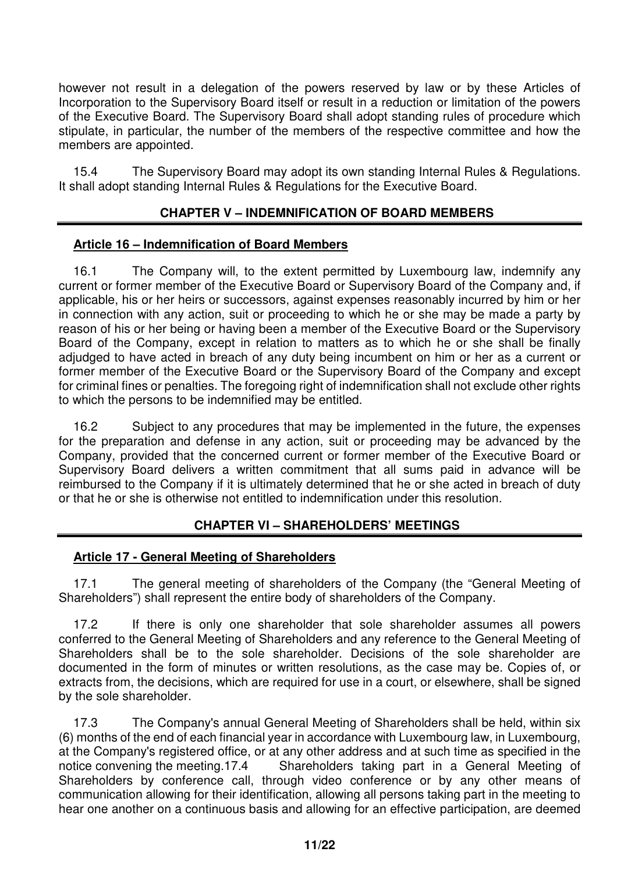however not result in a delegation of the powers reserved by law or by these Articles of Incorporation to the Supervisory Board itself or result in a reduction or limitation of the powers of the Executive Board. The Supervisory Board shall adopt standing rules of procedure which stipulate, in particular, the number of the members of the respective committee and how the members are appointed.

15.4 The Supervisory Board may adopt its own standing Internal Rules & Regulations. It shall adopt standing Internal Rules & Regulations for the Executive Board.

## **CHAPTER V – INDEMNIFICATION OF BOARD MEMBERS**

#### **Article 16 – Indemnification of Board Members**

16.1 The Company will, to the extent permitted by Luxembourg law, indemnify any current or former member of the Executive Board or Supervisory Board of the Company and, if applicable, his or her heirs or successors, against expenses reasonably incurred by him or her in connection with any action, suit or proceeding to which he or she may be made a party by reason of his or her being or having been a member of the Executive Board or the Supervisory Board of the Company, except in relation to matters as to which he or she shall be finally adjudged to have acted in breach of any duty being incumbent on him or her as a current or former member of the Executive Board or the Supervisory Board of the Company and except for criminal fines or penalties. The foregoing right of indemnification shall not exclude other rights to which the persons to be indemnified may be entitled.

16.2 Subject to any procedures that may be implemented in the future, the expenses for the preparation and defense in any action, suit or proceeding may be advanced by the Company, provided that the concerned current or former member of the Executive Board or Supervisory Board delivers a written commitment that all sums paid in advance will be reimbursed to the Company if it is ultimately determined that he or she acted in breach of duty or that he or she is otherwise not entitled to indemnification under this resolution.

#### **CHAPTER VI – SHAREHOLDERS' MEETINGS**

#### **Article 17 - General Meeting of Shareholders**

17.1 The general meeting of shareholders of the Company (the "General Meeting of Shareholders") shall represent the entire body of shareholders of the Company.

17.2 If there is only one shareholder that sole shareholder assumes all powers conferred to the General Meeting of Shareholders and any reference to the General Meeting of Shareholders shall be to the sole shareholder. Decisions of the sole shareholder are documented in the form of minutes or written resolutions, as the case may be. Copies of, or extracts from, the decisions, which are required for use in a court, or elsewhere, shall be signed by the sole shareholder.

17.3 The Company's annual General Meeting of Shareholders shall be held, within six (6) months of the end of each financial year in accordance with Luxembourg law, in Luxembourg, at the Company's registered office, or at any other address and at such time as specified in the notice convening the meeting.17.4 Shareholders taking part in a General Meeting of Shareholders by conference call, through video conference or by any other means of communication allowing for their identification, allowing all persons taking part in the meeting to hear one another on a continuous basis and allowing for an effective participation, are deemed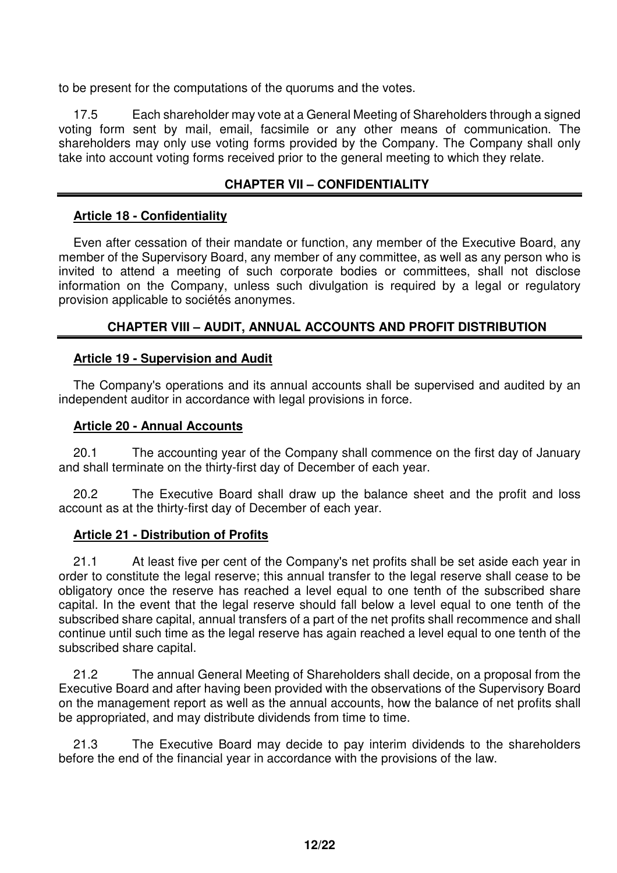to be present for the computations of the quorums and the votes.

17.5 Each shareholder may vote at a General Meeting of Shareholders through a signed voting form sent by mail, email, facsimile or any other means of communication. The shareholders may only use voting forms provided by the Company. The Company shall only take into account voting forms received prior to the general meeting to which they relate.

## **CHAPTER VII – CONFIDENTIALITY**

#### **Article 18 - Confidentiality**

Even after cessation of their mandate or function, any member of the Executive Board, any member of the Supervisory Board, any member of any committee, as well as any person who is invited to attend a meeting of such corporate bodies or committees, shall not disclose information on the Company, unless such divulgation is required by a legal or regulatory provision applicable to sociétés anonymes.

## **CHAPTER VIII – AUDIT, ANNUAL ACCOUNTS AND PROFIT DISTRIBUTION**

#### **Article 19 - Supervision and Audit**

The Company's operations and its annual accounts shall be supervised and audited by an independent auditor in accordance with legal provisions in force.

#### **Article 20 - Annual Accounts**

20.1 The accounting year of the Company shall commence on the first day of January and shall terminate on the thirty-first day of December of each year.

20.2 The Executive Board shall draw up the balance sheet and the profit and loss account as at the thirty-first day of December of each year.

#### **Article 21 - Distribution of Profits**

21.1 At least five per cent of the Company's net profits shall be set aside each year in order to constitute the legal reserve; this annual transfer to the legal reserve shall cease to be obligatory once the reserve has reached a level equal to one tenth of the subscribed share capital. In the event that the legal reserve should fall below a level equal to one tenth of the subscribed share capital, annual transfers of a part of the net profits shall recommence and shall continue until such time as the legal reserve has again reached a level equal to one tenth of the subscribed share capital.

21.2 The annual General Meeting of Shareholders shall decide, on a proposal from the Executive Board and after having been provided with the observations of the Supervisory Board on the management report as well as the annual accounts, how the balance of net profits shall be appropriated, and may distribute dividends from time to time.

21.3 The Executive Board may decide to pay interim dividends to the shareholders before the end of the financial year in accordance with the provisions of the law.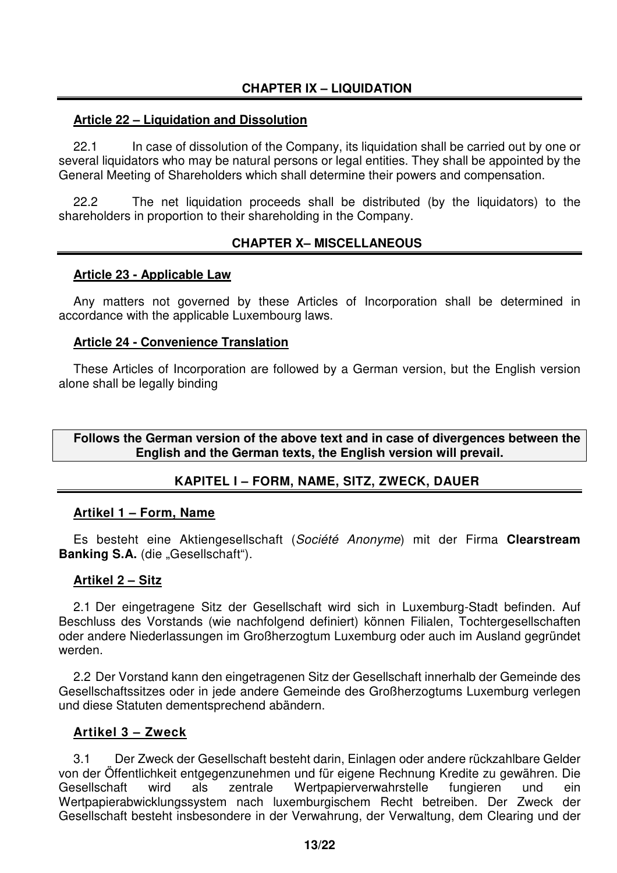## **CHAPTER IX – LIQUIDATION**

#### **Article 22 – Liquidation and Dissolution**

22.1 In case of dissolution of the Company, its liquidation shall be carried out by one or several liquidators who may be natural persons or legal entities. They shall be appointed by the General Meeting of Shareholders which shall determine their powers and compensation.

22.2 The net liquidation proceeds shall be distributed (by the liquidators) to the shareholders in proportion to their shareholding in the Company.

## **CHAPTER X– MISCELLANEOUS**

#### **Article 23 - Applicable Law**

Any matters not governed by these Articles of Incorporation shall be determined in accordance with the applicable Luxembourg laws.

#### **Article 24 - Convenience Translation**

These Articles of Incorporation are followed by a German version, but the English version alone shall be legally binding

**Follows the German version of the above text and in case of divergences between the English and the German texts, the English version will prevail.** 

## **KAPITEL I – FORM, NAME, SITZ, ZWECK, DAUER**

#### **Artikel 1 – Form, Name**

Es besteht eine Aktiengesellschaft (Société Anonyme) mit der Firma **Clearstream Banking S.A.** (die "Gesellschaft").

#### **Artikel 2 – Sitz**

2.1 Der eingetragene Sitz der Gesellschaft wird sich in Luxemburg-Stadt befinden. Auf Beschluss des Vorstands (wie nachfolgend definiert) können Filialen, Tochtergesellschaften oder andere Niederlassungen im Großherzogtum Luxemburg oder auch im Ausland gegründet werden.

2.2 Der Vorstand kann den eingetragenen Sitz der Gesellschaft innerhalb der Gemeinde des Gesellschaftssitzes oder in jede andere Gemeinde des Großherzogtums Luxemburg verlegen und diese Statuten dementsprechend abändern.

#### **Artikel 3 – Zweck**

3.1 Der Zweck der Gesellschaft besteht darin, Einlagen oder andere rückzahlbare Gelder von der Öffentlichkeit entgegenzunehmen und für eigene Rechnung Kredite zu gewähren. Die Gesellschaft wird als zentrale Wertpapierverwahrstelle fungieren und ein Wertpapierabwicklungssystem nach luxemburgischem Recht betreiben. Der Zweck der Gesellschaft besteht insbesondere in der Verwahrung, der Verwaltung, dem Clearing und der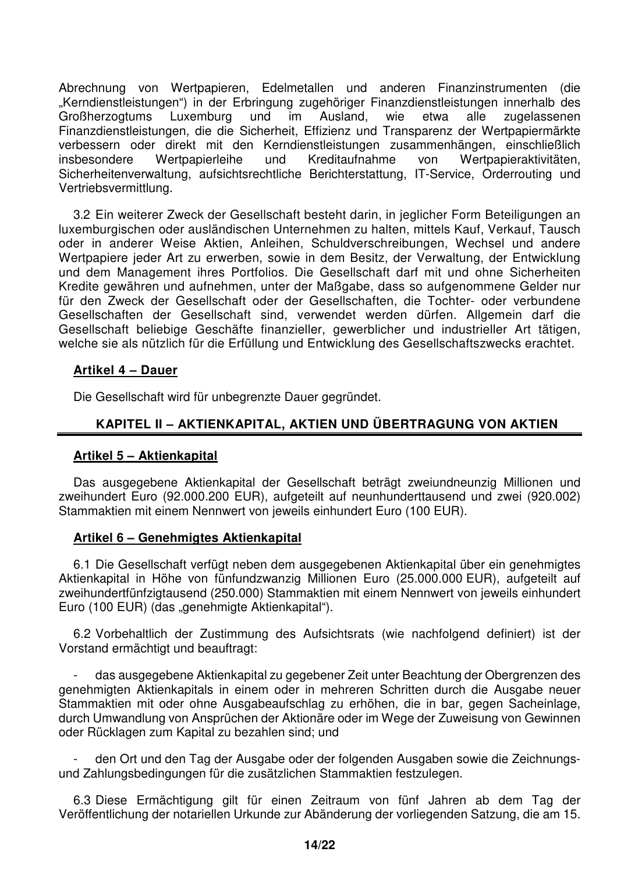Abrechnung von Wertpapieren, Edelmetallen und anderen Finanzinstrumenten (die "Kerndienstleistungen") in der Erbringung zugehöriger Finanzdienstleistungen innerhalb des Großherzogtums Luxemburg und im Ausland, wie etwa alle zugelassenen Finanzdienstleistungen, die die Sicherheit, Effizienz und Transparenz der Wertpapiermärkte verbessern oder direkt mit den Kerndienstleistungen zusammenhängen, einschließlich insbesondere Wertpapierleihe und Kreditaufnahme von Wertpapieraktivitäten, Sicherheitenverwaltung, aufsichtsrechtliche Berichterstattung, IT-Service, Orderrouting und Vertriebsvermittlung.

3.2 Ein weiterer Zweck der Gesellschaft besteht darin, in jeglicher Form Beteiligungen an luxemburgischen oder ausländischen Unternehmen zu halten, mittels Kauf, Verkauf, Tausch oder in anderer Weise Aktien, Anleihen, Schuldverschreibungen, Wechsel und andere Wertpapiere jeder Art zu erwerben, sowie in dem Besitz, der Verwaltung, der Entwicklung und dem Management ihres Portfolios. Die Gesellschaft darf mit und ohne Sicherheiten Kredite gewähren und aufnehmen, unter der Maßgabe, dass so aufgenommene Gelder nur für den Zweck der Gesellschaft oder der Gesellschaften, die Tochter- oder verbundene Gesellschaften der Gesellschaft sind, verwendet werden dürfen. Allgemein darf die Gesellschaft beliebige Geschäfte finanzieller, gewerblicher und industrieller Art tätigen, welche sie als nützlich für die Erfüllung und Entwicklung des Gesellschaftszwecks erachtet.

#### **Artikel 4 – Dauer**

Die Gesellschaft wird für unbegrenzte Dauer gegründet.

## **KAPITEL II – AKTIENKAPITAL, AKTIEN UND ÜBERTRAGUNG VON AKTIEN**

#### **Artikel 5 – Aktienkapital**

Das ausgegebene Aktienkapital der Gesellschaft beträgt zweiundneunzig Millionen und zweihundert Euro (92.000.200 EUR), aufgeteilt auf neunhunderttausend und zwei (920.002) Stammaktien mit einem Nennwert von jeweils einhundert Euro (100 EUR).

#### **Artikel 6 – Genehmigtes Aktienkapital**

6.1 Die Gesellschaft verfügt neben dem ausgegebenen Aktienkapital über ein genehmigtes Aktienkapital in Höhe von fünfundzwanzig Millionen Euro (25.000.000 EUR), aufgeteilt auf zweihundertfünfzigtausend (250.000) Stammaktien mit einem Nennwert von jeweils einhundert Euro (100 EUR) (das "genehmigte Aktienkapital").

6.2 Vorbehaltlich der Zustimmung des Aufsichtsrats (wie nachfolgend definiert) ist der Vorstand ermächtigt und beauftragt:

- das ausgegebene Aktienkapital zu gegebener Zeit unter Beachtung der Obergrenzen des genehmigten Aktienkapitals in einem oder in mehreren Schritten durch die Ausgabe neuer Stammaktien mit oder ohne Ausgabeaufschlag zu erhöhen, die in bar, gegen Sacheinlage, durch Umwandlung von Ansprüchen der Aktionäre oder im Wege der Zuweisung von Gewinnen oder Rücklagen zum Kapital zu bezahlen sind; und

- den Ort und den Tag der Ausgabe oder der folgenden Ausgaben sowie die Zeichnungsund Zahlungsbedingungen für die zusätzlichen Stammaktien festzulegen.

6.3 Diese Ermächtigung gilt für einen Zeitraum von fünf Jahren ab dem Tag der Veröffentlichung der notariellen Urkunde zur Abänderung der vorliegenden Satzung, die am 15.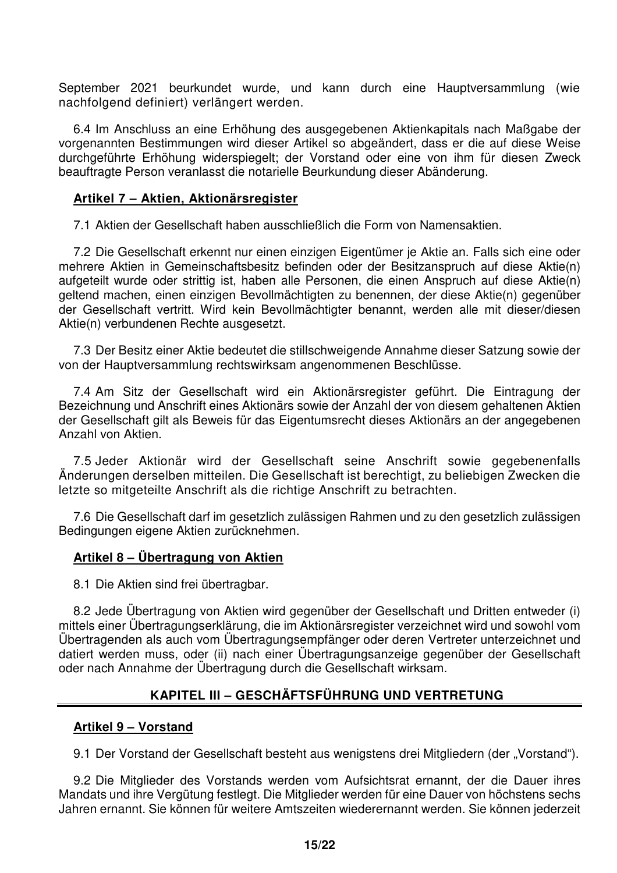September 2021 beurkundet wurde, und kann durch eine Hauptversammlung (wie nachfolgend definiert) verlängert werden.

6.4 Im Anschluss an eine Erhöhung des ausgegebenen Aktienkapitals nach Maßgabe der vorgenannten Bestimmungen wird dieser Artikel so abgeändert, dass er die auf diese Weise durchgeführte Erhöhung widerspiegelt; der Vorstand oder eine von ihm für diesen Zweck beauftragte Person veranlasst die notarielle Beurkundung dieser Abänderung.

#### **Artikel 7 – Aktien, Aktionärsregister**

7.1 Aktien der Gesellschaft haben ausschließlich die Form von Namensaktien.

7.2 Die Gesellschaft erkennt nur einen einzigen Eigentümer je Aktie an. Falls sich eine oder mehrere Aktien in Gemeinschaftsbesitz befinden oder der Besitzanspruch auf diese Aktie(n) aufgeteilt wurde oder strittig ist, haben alle Personen, die einen Anspruch auf diese Aktie(n) geltend machen, einen einzigen Bevollmächtigten zu benennen, der diese Aktie(n) gegenüber der Gesellschaft vertritt. Wird kein Bevollmächtigter benannt, werden alle mit dieser/diesen Aktie(n) verbundenen Rechte ausgesetzt.

7.3 Der Besitz einer Aktie bedeutet die stillschweigende Annahme dieser Satzung sowie der von der Hauptversammlung rechtswirksam angenommenen Beschlüsse.

7.4 Am Sitz der Gesellschaft wird ein Aktionärsregister geführt. Die Eintragung der Bezeichnung und Anschrift eines Aktionärs sowie der Anzahl der von diesem gehaltenen Aktien der Gesellschaft gilt als Beweis für das Eigentumsrecht dieses Aktionärs an der angegebenen Anzahl von Aktien.

7.5 Jeder Aktionär wird der Gesellschaft seine Anschrift sowie gegebenenfalls Änderungen derselben mitteilen. Die Gesellschaft ist berechtigt, zu beliebigen Zwecken die letzte so mitgeteilte Anschrift als die richtige Anschrift zu betrachten.

7.6 Die Gesellschaft darf im gesetzlich zulässigen Rahmen und zu den gesetzlich zulässigen Bedingungen eigene Aktien zurücknehmen.

#### **Artikel 8 – Übertragung von Aktien**

8.1 Die Aktien sind frei übertragbar.

8.2 Jede Übertragung von Aktien wird gegenüber der Gesellschaft und Dritten entweder (i) mittels einer Übertragungserklärung, die im Aktionärsregister verzeichnet wird und sowohl vom Übertragenden als auch vom Übertragungsempfänger oder deren Vertreter unterzeichnet und datiert werden muss, oder (ii) nach einer Übertragungsanzeige gegenüber der Gesellschaft oder nach Annahme der Übertragung durch die Gesellschaft wirksam.

## **KAPITEL III – GESCHÄFTSFÜHRUNG UND VERTRETUNG**

#### **Artikel 9 – Vorstand**

9.1 Der Vorstand der Gesellschaft besteht aus wenigstens drei Mitgliedern (der "Vorstand").

9.2 Die Mitglieder des Vorstands werden vom Aufsichtsrat ernannt, der die Dauer ihres Mandats und ihre Vergütung festlegt. Die Mitglieder werden für eine Dauer von höchstens sechs Jahren ernannt. Sie können für weitere Amtszeiten wiederernannt werden. Sie können jederzeit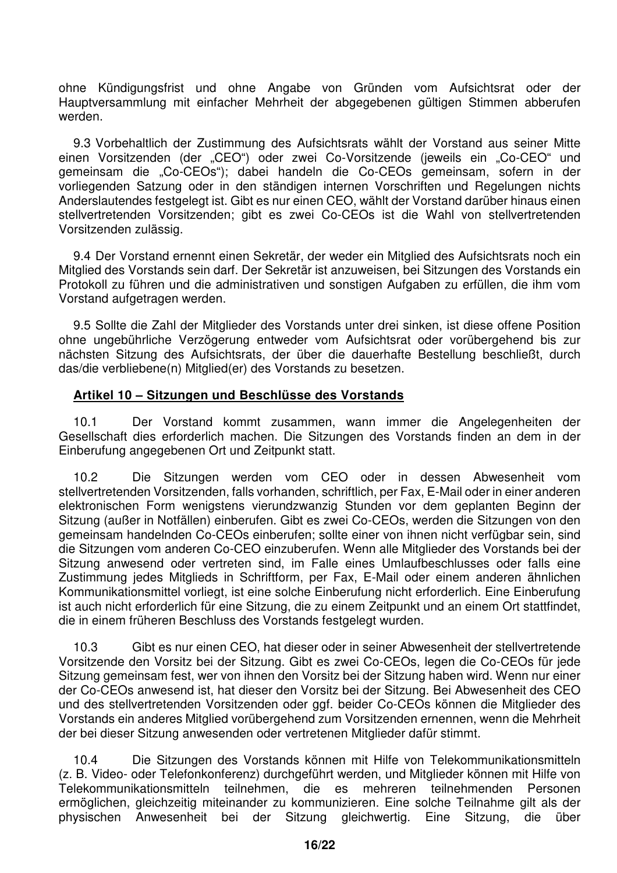ohne Kündigungsfrist und ohne Angabe von Gründen vom Aufsichtsrat oder der Hauptversammlung mit einfacher Mehrheit der abgegebenen gültigen Stimmen abberufen werden.

9.3 Vorbehaltlich der Zustimmung des Aufsichtsrats wählt der Vorstand aus seiner Mitte einen Vorsitzenden (der "CEO") oder zwei Co-Vorsitzende (jeweils ein "Co-CEO" und gemeinsam die "Co-CEOs"); dabei handeln die Co-CEOs gemeinsam, sofern in der vorliegenden Satzung oder in den ständigen internen Vorschriften und Regelungen nichts Anderslautendes festgelegt ist. Gibt es nur einen CEO, wählt der Vorstand darüber hinaus einen stellvertretenden Vorsitzenden; gibt es zwei Co-CEOs ist die Wahl von stellvertretenden Vorsitzenden zulässig.

9.4 Der Vorstand ernennt einen Sekretär, der weder ein Mitglied des Aufsichtsrats noch ein Mitglied des Vorstands sein darf. Der Sekretär ist anzuweisen, bei Sitzungen des Vorstands ein Protokoll zu führen und die administrativen und sonstigen Aufgaben zu erfüllen, die ihm vom Vorstand aufgetragen werden.

9.5 Sollte die Zahl der Mitglieder des Vorstands unter drei sinken, ist diese offene Position ohne ungebührliche Verzögerung entweder vom Aufsichtsrat oder vorübergehend bis zur nächsten Sitzung des Aufsichtsrats, der über die dauerhafte Bestellung beschließt, durch das/die verbliebene(n) Mitglied(er) des Vorstands zu besetzen.

## **Artikel 10 – Sitzungen und Beschlüsse des Vorstands**

10.1 Der Vorstand kommt zusammen, wann immer die Angelegenheiten der Gesellschaft dies erforderlich machen. Die Sitzungen des Vorstands finden an dem in der Einberufung angegebenen Ort und Zeitpunkt statt.

10.2 Die Sitzungen werden vom CEO oder in dessen Abwesenheit vom stellvertretenden Vorsitzenden, falls vorhanden, schriftlich, per Fax, E-Mail oder in einer anderen elektronischen Form wenigstens vierundzwanzig Stunden vor dem geplanten Beginn der Sitzung (außer in Notfällen) einberufen. Gibt es zwei Co-CEOs, werden die Sitzungen von den gemeinsam handelnden Co-CEOs einberufen; sollte einer von ihnen nicht verfügbar sein, sind die Sitzungen vom anderen Co-CEO einzuberufen. Wenn alle Mitglieder des Vorstands bei der Sitzung anwesend oder vertreten sind, im Falle eines Umlaufbeschlusses oder falls eine Zustimmung jedes Mitglieds in Schriftform, per Fax, E-Mail oder einem anderen ähnlichen Kommunikationsmittel vorliegt, ist eine solche Einberufung nicht erforderlich. Eine Einberufung ist auch nicht erforderlich für eine Sitzung, die zu einem Zeitpunkt und an einem Ort stattfindet, die in einem früheren Beschluss des Vorstands festgelegt wurden.

10.3 Gibt es nur einen CEO, hat dieser oder in seiner Abwesenheit der stellvertretende Vorsitzende den Vorsitz bei der Sitzung. Gibt es zwei Co-CEOs, legen die Co-CEOs für jede Sitzung gemeinsam fest, wer von ihnen den Vorsitz bei der Sitzung haben wird. Wenn nur einer der Co-CEOs anwesend ist, hat dieser den Vorsitz bei der Sitzung. Bei Abwesenheit des CEO und des stellvertretenden Vorsitzenden oder ggf. beider Co-CEOs können die Mitglieder des Vorstands ein anderes Mitglied vorübergehend zum Vorsitzenden ernennen, wenn die Mehrheit der bei dieser Sitzung anwesenden oder vertretenen Mitglieder dafür stimmt.

10.4 Die Sitzungen des Vorstands können mit Hilfe von Telekommunikationsmitteln (z. B. Video- oder Telefonkonferenz) durchgeführt werden, und Mitglieder können mit Hilfe von Telekommunikationsmitteln teilnehmen, die es mehreren teilnehmenden Personen ermöglichen, gleichzeitig miteinander zu kommunizieren. Eine solche Teilnahme gilt als der physischen Anwesenheit bei der Sitzung gleichwertig. Eine Sitzung, die über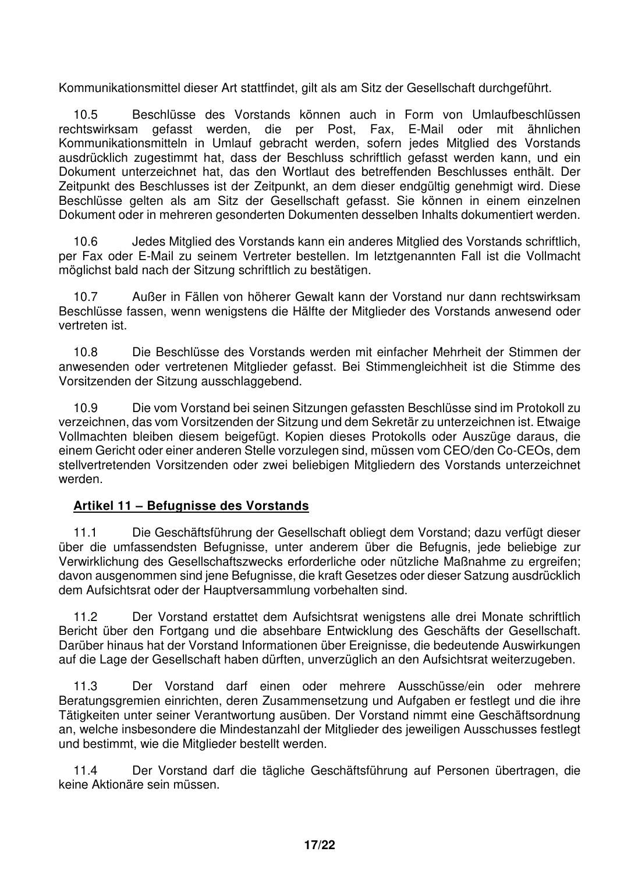Kommunikationsmittel dieser Art stattfindet, gilt als am Sitz der Gesellschaft durchgeführt.

10.5 Beschlüsse des Vorstands können auch in Form von Umlaufbeschlüssen rechtswirksam gefasst werden, die per Post, Fax, E-Mail oder mit ähnlichen Kommunikationsmitteln in Umlauf gebracht werden, sofern jedes Mitglied des Vorstands ausdrücklich zugestimmt hat, dass der Beschluss schriftlich gefasst werden kann, und ein Dokument unterzeichnet hat, das den Wortlaut des betreffenden Beschlusses enthält. Der Zeitpunkt des Beschlusses ist der Zeitpunkt, an dem dieser endgültig genehmigt wird. Diese Beschlüsse gelten als am Sitz der Gesellschaft gefasst. Sie können in einem einzelnen Dokument oder in mehreren gesonderten Dokumenten desselben Inhalts dokumentiert werden.

10.6 Jedes Mitglied des Vorstands kann ein anderes Mitglied des Vorstands schriftlich, per Fax oder E-Mail zu seinem Vertreter bestellen. Im letztgenannten Fall ist die Vollmacht möglichst bald nach der Sitzung schriftlich zu bestätigen.

10.7 Außer in Fällen von höherer Gewalt kann der Vorstand nur dann rechtswirksam Beschlüsse fassen, wenn wenigstens die Hälfte der Mitglieder des Vorstands anwesend oder vertreten ist.

10.8 Die Beschlüsse des Vorstands werden mit einfacher Mehrheit der Stimmen der anwesenden oder vertretenen Mitglieder gefasst. Bei Stimmengleichheit ist die Stimme des Vorsitzenden der Sitzung ausschlaggebend.

10.9 Die vom Vorstand bei seinen Sitzungen gefassten Beschlüsse sind im Protokoll zu verzeichnen, das vom Vorsitzenden der Sitzung und dem Sekretär zu unterzeichnen ist. Etwaige Vollmachten bleiben diesem beigefügt. Kopien dieses Protokolls oder Auszüge daraus, die einem Gericht oder einer anderen Stelle vorzulegen sind, müssen vom CEO/den Co-CEOs, dem stellvertretenden Vorsitzenden oder zwei beliebigen Mitgliedern des Vorstands unterzeichnet werden.

## **Artikel 11 – Befugnisse des Vorstands**

11.1 Die Geschäftsführung der Gesellschaft obliegt dem Vorstand; dazu verfügt dieser über die umfassendsten Befugnisse, unter anderem über die Befugnis, jede beliebige zur Verwirklichung des Gesellschaftszwecks erforderliche oder nützliche Maßnahme zu ergreifen; davon ausgenommen sind jene Befugnisse, die kraft Gesetzes oder dieser Satzung ausdrücklich dem Aufsichtsrat oder der Hauptversammlung vorbehalten sind.

11.2 Der Vorstand erstattet dem Aufsichtsrat wenigstens alle drei Monate schriftlich Bericht über den Fortgang und die absehbare Entwicklung des Geschäfts der Gesellschaft. Darüber hinaus hat der Vorstand Informationen über Ereignisse, die bedeutende Auswirkungen auf die Lage der Gesellschaft haben dürften, unverzüglich an den Aufsichtsrat weiterzugeben.

11.3 Der Vorstand darf einen oder mehrere Ausschüsse/ein oder mehrere Beratungsgremien einrichten, deren Zusammensetzung und Aufgaben er festlegt und die ihre Tätigkeiten unter seiner Verantwortung ausüben. Der Vorstand nimmt eine Geschäftsordnung an, welche insbesondere die Mindestanzahl der Mitglieder des jeweiligen Ausschusses festlegt und bestimmt, wie die Mitglieder bestellt werden.

11.4 Der Vorstand darf die tägliche Geschäftsführung auf Personen übertragen, die keine Aktionäre sein müssen.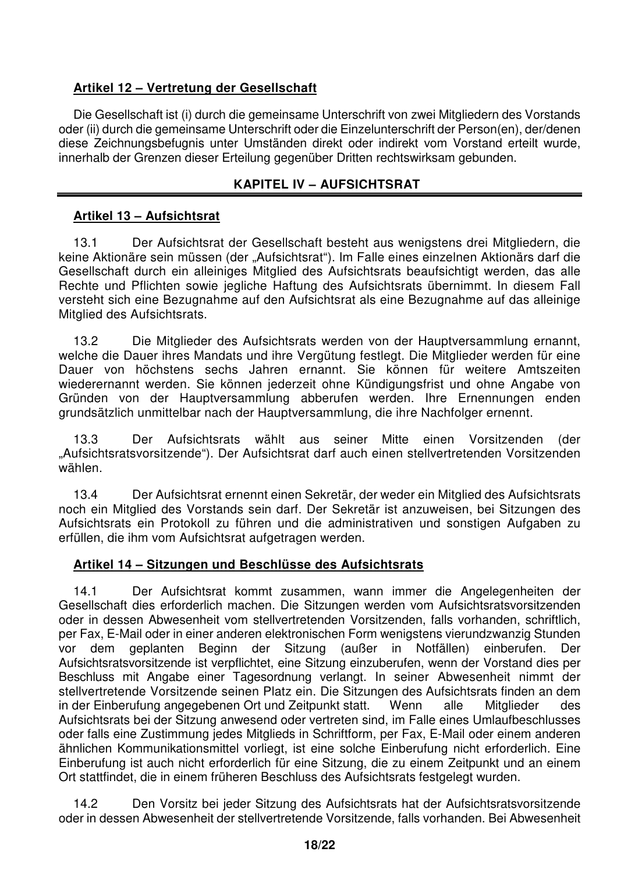## **Artikel 12 – Vertretung der Gesellschaft**

Die Gesellschaft ist (i) durch die gemeinsame Unterschrift von zwei Mitgliedern des Vorstands oder (ii) durch die gemeinsame Unterschrift oder die Einzelunterschrift der Person(en), der/denen diese Zeichnungsbefugnis unter Umständen direkt oder indirekt vom Vorstand erteilt wurde, innerhalb der Grenzen dieser Erteilung gegenüber Dritten rechtswirksam gebunden.

## **KAPITEL IV – AUFSICHTSRAT**

## **Artikel 13 – Aufsichtsrat**

13.1 Der Aufsichtsrat der Gesellschaft besteht aus wenigstens drei Mitgliedern, die keine Aktionäre sein müssen (der "Aufsichtsrat"). Im Falle eines einzelnen Aktionärs darf die Gesellschaft durch ein alleiniges Mitglied des Aufsichtsrats beaufsichtigt werden, das alle Rechte und Pflichten sowie jegliche Haftung des Aufsichtsrats übernimmt. In diesem Fall versteht sich eine Bezugnahme auf den Aufsichtsrat als eine Bezugnahme auf das alleinige Mitglied des Aufsichtsrats.

13.2 Die Mitglieder des Aufsichtsrats werden von der Hauptversammlung ernannt, welche die Dauer ihres Mandats und ihre Vergütung festlegt. Die Mitglieder werden für eine Dauer von höchstens sechs Jahren ernannt. Sie können für weitere Amtszeiten wiederernannt werden. Sie können jederzeit ohne Kündigungsfrist und ohne Angabe von Gründen von der Hauptversammlung abberufen werden. Ihre Ernennungen enden grundsätzlich unmittelbar nach der Hauptversammlung, die ihre Nachfolger ernennt.

13.3 Der Aufsichtsrats wählt aus seiner Mitte einen Vorsitzenden (der "Aufsichtsratsvorsitzende"). Der Aufsichtsrat darf auch einen stellvertretenden Vorsitzenden wählen.

13.4 Der Aufsichtsrat ernennt einen Sekretär, der weder ein Mitglied des Aufsichtsrats noch ein Mitglied des Vorstands sein darf. Der Sekretär ist anzuweisen, bei Sitzungen des Aufsichtsrats ein Protokoll zu führen und die administrativen und sonstigen Aufgaben zu erfüllen, die ihm vom Aufsichtsrat aufgetragen werden.

## **Artikel 14 – Sitzungen und Beschlüsse des Aufsichtsrats**

14.1 Der Aufsichtsrat kommt zusammen, wann immer die Angelegenheiten der Gesellschaft dies erforderlich machen. Die Sitzungen werden vom Aufsichtsratsvorsitzenden oder in dessen Abwesenheit vom stellvertretenden Vorsitzenden, falls vorhanden, schriftlich, per Fax, E-Mail oder in einer anderen elektronischen Form wenigstens vierundzwanzig Stunden vor dem geplanten Beginn der Sitzung (außer in Notfällen) einberufen. Der Aufsichtsratsvorsitzende ist verpflichtet, eine Sitzung einzuberufen, wenn der Vorstand dies per Beschluss mit Angabe einer Tagesordnung verlangt. In seiner Abwesenheit nimmt der stellvertretende Vorsitzende seinen Platz ein. Die Sitzungen des Aufsichtsrats finden an dem in der Einberufung angegebenen Ort und Zeitpunkt statt. Wenn alle Mitglieder des Aufsichtsrats bei der Sitzung anwesend oder vertreten sind, im Falle eines Umlaufbeschlusses oder falls eine Zustimmung jedes Mitglieds in Schriftform, per Fax, E-Mail oder einem anderen ähnlichen Kommunikationsmittel vorliegt, ist eine solche Einberufung nicht erforderlich. Eine Einberufung ist auch nicht erforderlich für eine Sitzung, die zu einem Zeitpunkt und an einem Ort stattfindet, die in einem früheren Beschluss des Aufsichtsrats festgelegt wurden.

14.2 Den Vorsitz bei jeder Sitzung des Aufsichtsrats hat der Aufsichtsratsvorsitzende oder in dessen Abwesenheit der stellvertretende Vorsitzende, falls vorhanden. Bei Abwesenheit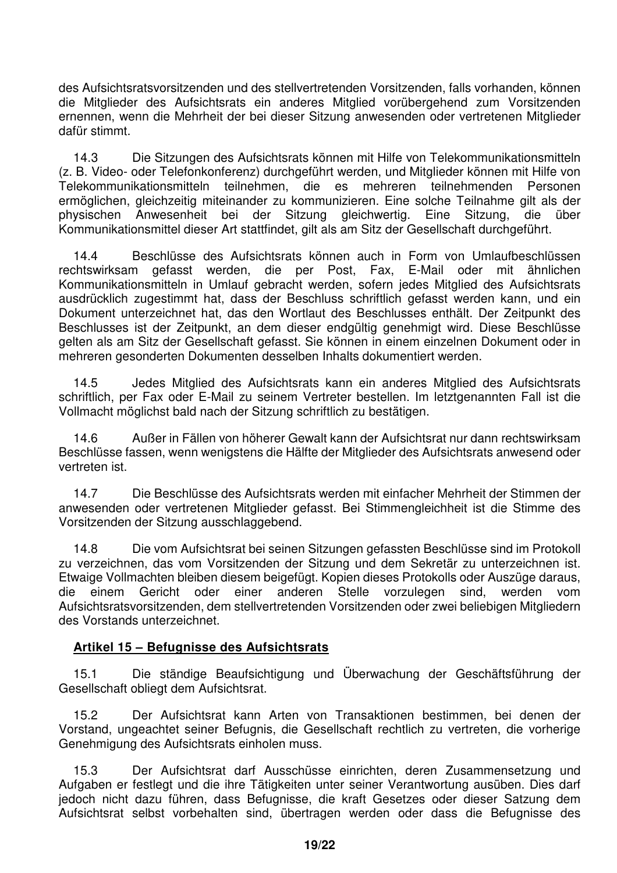des Aufsichtsratsvorsitzenden und des stellvertretenden Vorsitzenden, falls vorhanden, können die Mitglieder des Aufsichtsrats ein anderes Mitglied vorübergehend zum Vorsitzenden ernennen, wenn die Mehrheit der bei dieser Sitzung anwesenden oder vertretenen Mitglieder dafür stimmt.

14.3 Die Sitzungen des Aufsichtsrats können mit Hilfe von Telekommunikationsmitteln (z. B. Video- oder Telefonkonferenz) durchgeführt werden, und Mitglieder können mit Hilfe von Telekommunikationsmitteln teilnehmen, die es mehreren teilnehmenden Personen ermöglichen, gleichzeitig miteinander zu kommunizieren. Eine solche Teilnahme gilt als der physischen Anwesenheit bei der Sitzung gleichwertig. Eine Sitzung, die über Kommunikationsmittel dieser Art stattfindet, gilt als am Sitz der Gesellschaft durchgeführt.

14.4 Beschlüsse des Aufsichtsrats können auch in Form von Umlaufbeschlüssen rechtswirksam gefasst werden, die per Post, Fax, E-Mail oder mit ähnlichen Kommunikationsmitteln in Umlauf gebracht werden, sofern jedes Mitglied des Aufsichtsrats ausdrücklich zugestimmt hat, dass der Beschluss schriftlich gefasst werden kann, und ein Dokument unterzeichnet hat, das den Wortlaut des Beschlusses enthält. Der Zeitpunkt des Beschlusses ist der Zeitpunkt, an dem dieser endgültig genehmigt wird. Diese Beschlüsse gelten als am Sitz der Gesellschaft gefasst. Sie können in einem einzelnen Dokument oder in mehreren gesonderten Dokumenten desselben Inhalts dokumentiert werden.

14.5 Jedes Mitglied des Aufsichtsrats kann ein anderes Mitglied des Aufsichtsrats schriftlich, per Fax oder E-Mail zu seinem Vertreter bestellen. Im letztgenannten Fall ist die Vollmacht möglichst bald nach der Sitzung schriftlich zu bestätigen.

14.6 Außer in Fällen von höherer Gewalt kann der Aufsichtsrat nur dann rechtswirksam Beschlüsse fassen, wenn wenigstens die Hälfte der Mitglieder des Aufsichtsrats anwesend oder vertreten ist.

14.7 Die Beschlüsse des Aufsichtsrats werden mit einfacher Mehrheit der Stimmen der anwesenden oder vertretenen Mitglieder gefasst. Bei Stimmengleichheit ist die Stimme des Vorsitzenden der Sitzung ausschlaggebend.

14.8 Die vom Aufsichtsrat bei seinen Sitzungen gefassten Beschlüsse sind im Protokoll zu verzeichnen, das vom Vorsitzenden der Sitzung und dem Sekretär zu unterzeichnen ist. Etwaige Vollmachten bleiben diesem beigefügt. Kopien dieses Protokolls oder Auszüge daraus, die einem Gericht oder einer anderen Stelle vorzulegen sind, werden vom Aufsichtsratsvorsitzenden, dem stellvertretenden Vorsitzenden oder zwei beliebigen Mitgliedern des Vorstands unterzeichnet.

## **Artikel 15 – Befugnisse des Aufsichtsrats**

15.1 Die ständige Beaufsichtigung und Überwachung der Geschäftsführung der Gesellschaft obliegt dem Aufsichtsrat.

15.2 Der Aufsichtsrat kann Arten von Transaktionen bestimmen, bei denen der Vorstand, ungeachtet seiner Befugnis, die Gesellschaft rechtlich zu vertreten, die vorherige Genehmigung des Aufsichtsrats einholen muss.

15.3 Der Aufsichtsrat darf Ausschüsse einrichten, deren Zusammensetzung und Aufgaben er festlegt und die ihre Tätigkeiten unter seiner Verantwortung ausüben. Dies darf jedoch nicht dazu führen, dass Befugnisse, die kraft Gesetzes oder dieser Satzung dem Aufsichtsrat selbst vorbehalten sind, übertragen werden oder dass die Befugnisse des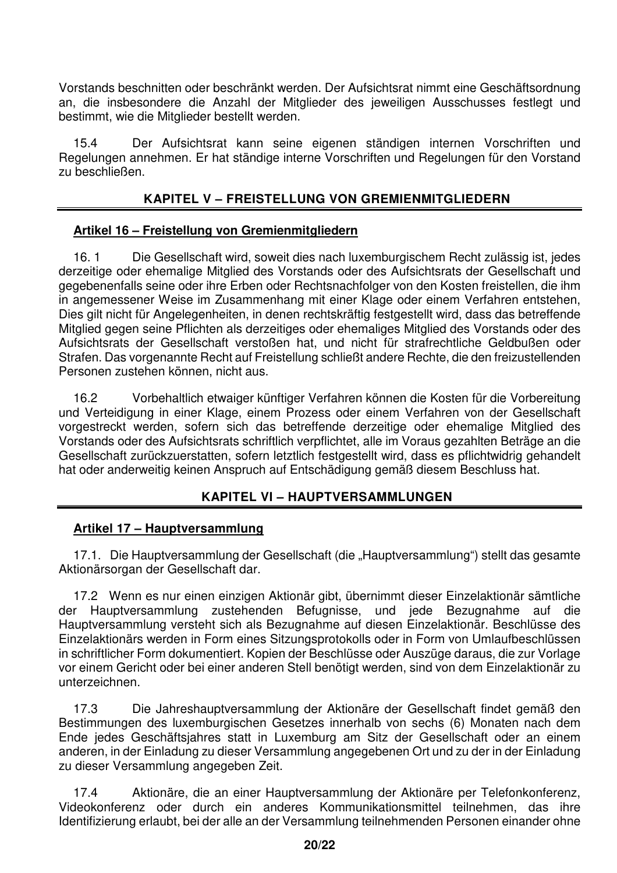Vorstands beschnitten oder beschränkt werden. Der Aufsichtsrat nimmt eine Geschäftsordnung an, die insbesondere die Anzahl der Mitglieder des jeweiligen Ausschusses festlegt und bestimmt, wie die Mitglieder bestellt werden.

15.4 Der Aufsichtsrat kann seine eigenen ständigen internen Vorschriften und Regelungen annehmen. Er hat ständige interne Vorschriften und Regelungen für den Vorstand zu beschließen.

## **KAPITEL V – FREISTELLUNG VON GREMIENMITGLIEDERN**

## **Artikel 16 – Freistellung von Gremienmitgliedern**

16. 1 Die Gesellschaft wird, soweit dies nach luxemburgischem Recht zulässig ist, jedes derzeitige oder ehemalige Mitglied des Vorstands oder des Aufsichtsrats der Gesellschaft und gegebenenfalls seine oder ihre Erben oder Rechtsnachfolger von den Kosten freistellen, die ihm in angemessener Weise im Zusammenhang mit einer Klage oder einem Verfahren entstehen, Dies gilt nicht für Angelegenheiten, in denen rechtskräftig festgestellt wird, dass das betreffende Mitglied gegen seine Pflichten als derzeitiges oder ehemaliges Mitglied des Vorstands oder des Aufsichtsrats der Gesellschaft verstoßen hat, und nicht für strafrechtliche Geldbußen oder Strafen. Das vorgenannte Recht auf Freistellung schließt andere Rechte, die den freizustellenden Personen zustehen können, nicht aus.

16.2 Vorbehaltlich etwaiger künftiger Verfahren können die Kosten für die Vorbereitung und Verteidigung in einer Klage, einem Prozess oder einem Verfahren von der Gesellschaft vorgestreckt werden, sofern sich das betreffende derzeitige oder ehemalige Mitglied des Vorstands oder des Aufsichtsrats schriftlich verpflichtet, alle im Voraus gezahlten Beträge an die Gesellschaft zurückzuerstatten, sofern letztlich festgestellt wird, dass es pflichtwidrig gehandelt hat oder anderweitig keinen Anspruch auf Entschädigung gemäß diesem Beschluss hat.

## **KAPITEL VI – HAUPTVERSAMMLUNGEN**

#### **Artikel 17 – Hauptversammlung**

17.1. Die Hauptversammlung der Gesellschaft (die "Hauptversammlung") stellt das gesamte Aktionärsorgan der Gesellschaft dar.

17.2 Wenn es nur einen einzigen Aktionär gibt, übernimmt dieser Einzelaktionär sämtliche der Hauptversammlung zustehenden Befugnisse, und jede Bezugnahme auf die Hauptversammlung versteht sich als Bezugnahme auf diesen Einzelaktionär. Beschlüsse des Einzelaktionärs werden in Form eines Sitzungsprotokolls oder in Form von Umlaufbeschlüssen in schriftlicher Form dokumentiert. Kopien der Beschlüsse oder Auszüge daraus, die zur Vorlage vor einem Gericht oder bei einer anderen Stell benötigt werden, sind von dem Einzelaktionär zu unterzeichnen.

17.3 Die Jahreshauptversammlung der Aktionäre der Gesellschaft findet gemäß den Bestimmungen des luxemburgischen Gesetzes innerhalb von sechs (6) Monaten nach dem Ende jedes Geschäftsjahres statt in Luxemburg am Sitz der Gesellschaft oder an einem anderen, in der Einladung zu dieser Versammlung angegebenen Ort und zu der in der Einladung zu dieser Versammlung angegeben Zeit.

17.4 Aktionäre, die an einer Hauptversammlung der Aktionäre per Telefonkonferenz, Videokonferenz oder durch ein anderes Kommunikationsmittel teilnehmen, das ihre Identifizierung erlaubt, bei der alle an der Versammlung teilnehmenden Personen einander ohne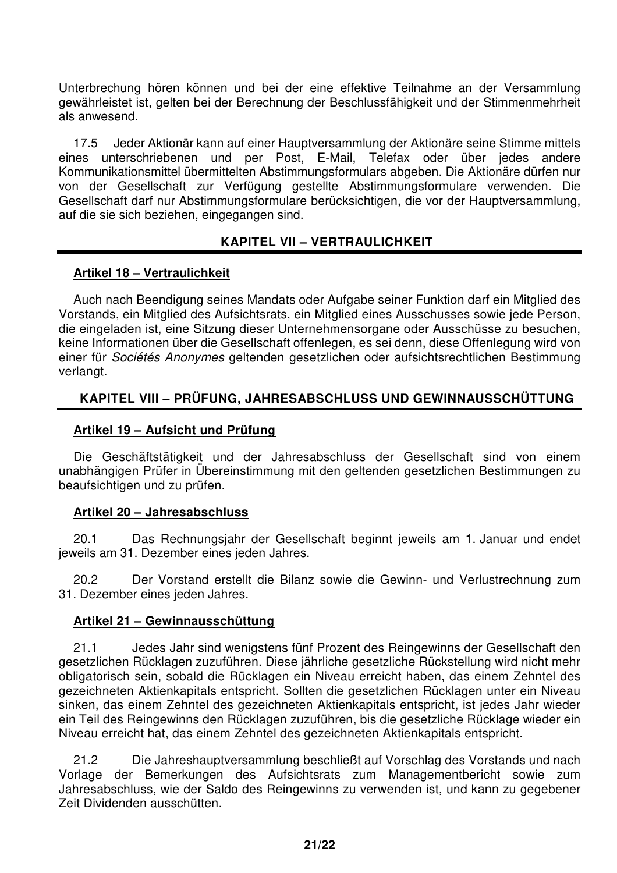Unterbrechung hören können und bei der eine effektive Teilnahme an der Versammlung gewährleistet ist, gelten bei der Berechnung der Beschlussfähigkeit und der Stimmenmehrheit als anwesend.

17.5 Jeder Aktionär kann auf einer Hauptversammlung der Aktionäre seine Stimme mittels eines unterschriebenen und per Post, E-Mail, Telefax oder über jedes andere Kommunikationsmittel übermittelten Abstimmungsformulars abgeben. Die Aktionäre dürfen nur von der Gesellschaft zur Verfügung gestellte Abstimmungsformulare verwenden. Die Gesellschaft darf nur Abstimmungsformulare berücksichtigen, die vor der Hauptversammlung, auf die sie sich beziehen, eingegangen sind.

## **KAPITEL VII – VERTRAULICHKEIT**

## **Artikel 18 – Vertraulichkeit**

Auch nach Beendigung seines Mandats oder Aufgabe seiner Funktion darf ein Mitglied des Vorstands, ein Mitglied des Aufsichtsrats, ein Mitglied eines Ausschusses sowie jede Person, die eingeladen ist, eine Sitzung dieser Unternehmensorgane oder Ausschüsse zu besuchen, keine Informationen über die Gesellschaft offenlegen, es sei denn, diese Offenlegung wird von einer für Sociétés Anonymes geltenden gesetzlichen oder aufsichtsrechtlichen Bestimmung verlangt.

## **KAPITEL VIII – PRÜFUNG, JAHRESABSCHLUSS UND GEWINNAUSSCHÜTTUNG**

## **Artikel 19 – Aufsicht und Prüfung**

Die Geschäftstätigkeit und der Jahresabschluss der Gesellschaft sind von einem unabhängigen Prüfer in Übereinstimmung mit den geltenden gesetzlichen Bestimmungen zu beaufsichtigen und zu prüfen.

## **Artikel 20 – Jahresabschluss**

20.1 Das Rechnungsjahr der Gesellschaft beginnt jeweils am 1. Januar und endet jeweils am 31. Dezember eines jeden Jahres.

20.2 Der Vorstand erstellt die Bilanz sowie die Gewinn- und Verlustrechnung zum 31. Dezember eines jeden Jahres.

## **Artikel 21 – Gewinnausschüttung**

21.1 Jedes Jahr sind wenigstens fünf Prozent des Reingewinns der Gesellschaft den gesetzlichen Rücklagen zuzuführen. Diese jährliche gesetzliche Rückstellung wird nicht mehr obligatorisch sein, sobald die Rücklagen ein Niveau erreicht haben, das einem Zehntel des gezeichneten Aktienkapitals entspricht. Sollten die gesetzlichen Rücklagen unter ein Niveau sinken, das einem Zehntel des gezeichneten Aktienkapitals entspricht, ist jedes Jahr wieder ein Teil des Reingewinns den Rücklagen zuzuführen, bis die gesetzliche Rücklage wieder ein Niveau erreicht hat, das einem Zehntel des gezeichneten Aktienkapitals entspricht.

21.2 Die Jahreshauptversammlung beschließt auf Vorschlag des Vorstands und nach Vorlage der Bemerkungen des Aufsichtsrats zum Managementbericht sowie zum Jahresabschluss, wie der Saldo des Reingewinns zu verwenden ist, und kann zu gegebener Zeit Dividenden ausschütten.